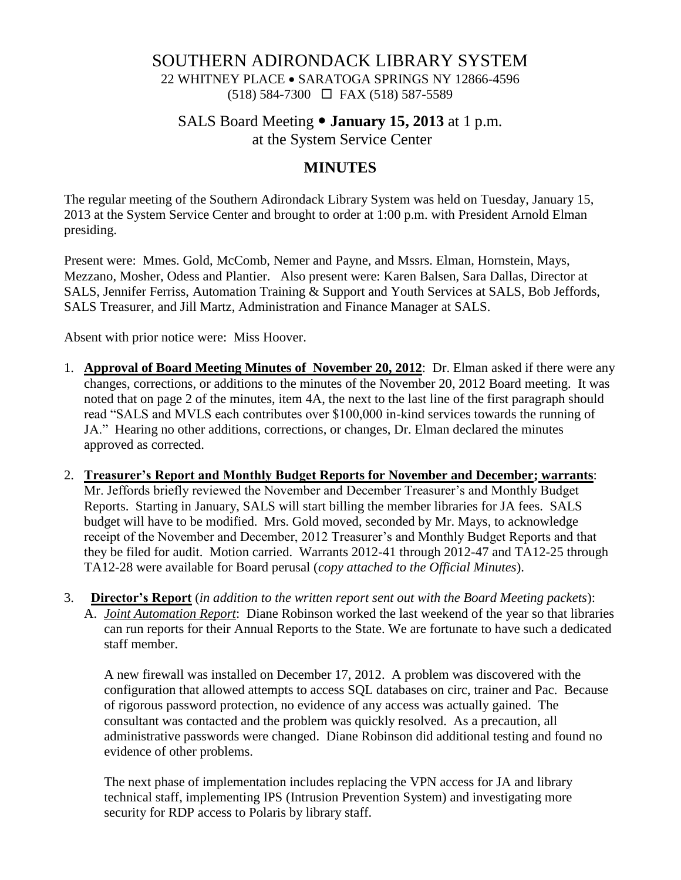## SOUTHERN ADIRONDACK LIBRARY SYSTEM

22 WHITNEY PLACE • SARATOGA SPRINGS NY 12866-4596 (518) 584-7300 FAX (518) 587-5589

## SALS Board Meeting **January 15, 2013** at 1 p.m. at the System Service Center

# **MINUTES**

The regular meeting of the Southern Adirondack Library System was held on Tuesday, January 15, 2013 at the System Service Center and brought to order at 1:00 p.m. with President Arnold Elman presiding.

Present were: Mmes. Gold, McComb, Nemer and Payne, and Mssrs. Elman, Hornstein, Mays, Mezzano, Mosher, Odess and Plantier. Also present were: Karen Balsen, Sara Dallas, Director at SALS, Jennifer Ferriss, Automation Training & Support and Youth Services at SALS, Bob Jeffords, SALS Treasurer, and Jill Martz, Administration and Finance Manager at SALS.

Absent with prior notice were: Miss Hoover.

- 1. **Approval of Board Meeting Minutes of November 20, 2012**: Dr. Elman asked if there were any changes, corrections, or additions to the minutes of the November 20, 2012 Board meeting. It was noted that on page 2 of the minutes, item 4A, the next to the last line of the first paragraph should read "SALS and MVLS each contributes over \$100,000 in-kind services towards the running of JA." Hearing no other additions, corrections, or changes, Dr. Elman declared the minutes approved as corrected.
- 2. **Treasurer's Report and Monthly Budget Reports for November and December; warrants**: Mr. Jeffords briefly reviewed the November and December Treasurer's and Monthly Budget Reports. Starting in January, SALS will start billing the member libraries for JA fees. SALS budget will have to be modified. Mrs. Gold moved, seconded by Mr. Mays, to acknowledge receipt of the November and December, 2012 Treasurer's and Monthly Budget Reports and that they be filed for audit. Motion carried. Warrants 2012-41 through 2012-47 and TA12-25 through TA12-28 were available for Board perusal (*copy attached to the Official Minutes*).
- 3. **Director's Report** (*in addition to the written report sent out with the Board Meeting packets*): A. *Joint Automation Report*: Diane Robinson worked the last weekend of the year so that libraries can run reports for their Annual Reports to the State. We are fortunate to have such a dedicated staff member.

A new firewall was installed on December 17, 2012. A problem was discovered with the configuration that allowed attempts to access SQL databases on circ, trainer and Pac. Because of rigorous password protection, no evidence of any access was actually gained. The consultant was contacted and the problem was quickly resolved. As a precaution, all administrative passwords were changed. Diane Robinson did additional testing and found no evidence of other problems.

The next phase of implementation includes replacing the VPN access for JA and library technical staff, implementing IPS (Intrusion Prevention System) and investigating more security for RDP access to Polaris by library staff.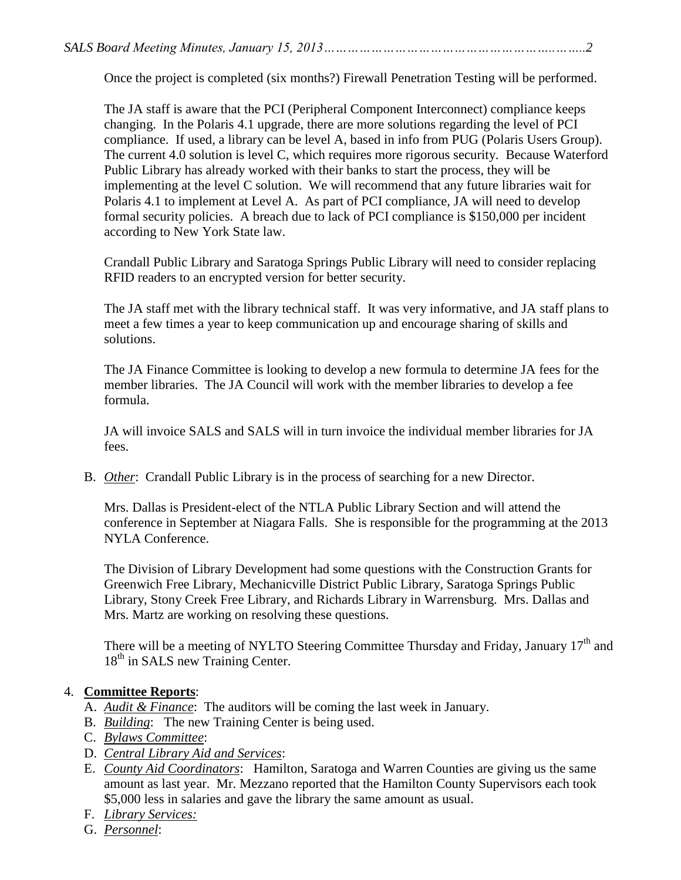Once the project is completed (six months?) Firewall Penetration Testing will be performed.

The JA staff is aware that the PCI (Peripheral Component Interconnect) compliance keeps changing. In the Polaris 4.1 upgrade, there are more solutions regarding the level of PCI compliance. If used, a library can be level A, based in info from PUG (Polaris Users Group). The current 4.0 solution is level C, which requires more rigorous security. Because Waterford Public Library has already worked with their banks to start the process, they will be implementing at the level C solution. We will recommend that any future libraries wait for Polaris 4.1 to implement at Level A. As part of PCI compliance, JA will need to develop formal security policies. A breach due to lack of PCI compliance is \$150,000 per incident according to New York State law.

Crandall Public Library and Saratoga Springs Public Library will need to consider replacing RFID readers to an encrypted version for better security.

The JA staff met with the library technical staff. It was very informative, and JA staff plans to meet a few times a year to keep communication up and encourage sharing of skills and solutions.

The JA Finance Committee is looking to develop a new formula to determine JA fees for the member libraries. The JA Council will work with the member libraries to develop a fee formula.

JA will invoice SALS and SALS will in turn invoice the individual member libraries for JA fees.

B. *Other*: Crandall Public Library is in the process of searching for a new Director.

Mrs. Dallas is President-elect of the NTLA Public Library Section and will attend the conference in September at Niagara Falls. She is responsible for the programming at the 2013 NYLA Conference.

The Division of Library Development had some questions with the Construction Grants for Greenwich Free Library, Mechanicville District Public Library, Saratoga Springs Public Library, Stony Creek Free Library, and Richards Library in Warrensburg. Mrs. Dallas and Mrs. Martz are working on resolving these questions.

There will be a meeting of NYLTO Steering Committee Thursday and Friday, January 17<sup>th</sup> and 18<sup>th</sup> in SALS new Training Center.

# 4. **Committee Reports**:

- A. *Audit & Finance*: The auditors will be coming the last week in January.
- B. *Building*: The new Training Center is being used.
- C. *Bylaws Committee*:
- D. *Central Library Aid and Services*:
- E. *County Aid Coordinators*: Hamilton, Saratoga and Warren Counties are giving us the same amount as last year. Mr. Mezzano reported that the Hamilton County Supervisors each took \$5,000 less in salaries and gave the library the same amount as usual.
- F. *Library Services:*
- G. *Personnel*: